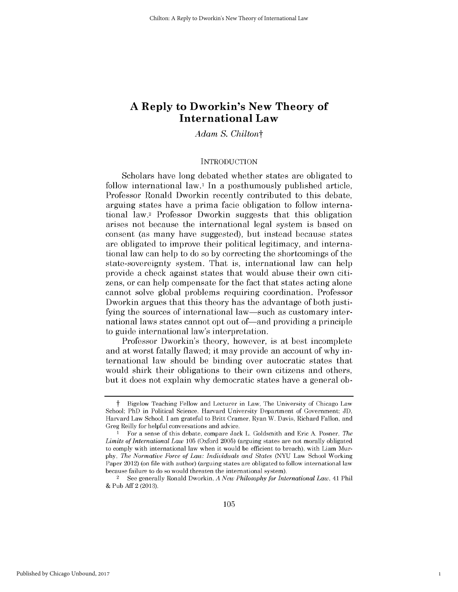# **A Reply to Dworkin's New Theory of International Law**

*Adam S. Chiltont*

#### **INTRODUCTION**

Scholars have long debated whether states are obligated to follow international law.<sup>1</sup> In a posthumously published article, Professor Ronald Dworkin recently contributed to this debate, arguing states have a prima facie obligation to follow international law.2 Professor Dworkin suggests that this obligation arises not because the international legal system is based on consent (as many have suggested), but instead because states are obligated to improve their political legitimacy, and international law can help to do so **by** correcting the shortcomings of the state-sovereignty system. That is, international law can help provide a check against states that would abuse their own citizens, or can help compensate for the fact that states acting alone cannot solve global problems requiring coordination. Professor Dworkin argues that this theory has the advantage of both justifying the sources of international law—such as customary international laws states cannot opt out of—and providing a principle to guide international law's interpretation.

Professor Dworkin's theory, however, is at best incomplete and at worst fatally flawed; it may provide an account of why international law should be binding over autocratic states that would shirk their obligations to their own citizens and others, but it does not explain why democratic states have a general ob-

1

t Bigelow Teaching Fellow and Lecturer in Law, The University of Chicago Law School; PhD in Political Science, Harvard University Department of Government; **JD,** Harvard Law School. **I** am grateful to Britt Cramer, Ryan W. Davis, Richard Fallon, and Greg Reilly for helpful conversations and advice.

<sup>1</sup> For a sense of this debate, compare Jack L. Goldsmith and Eric **A.** Posner, *The Limits of International Law* **105** (Oxford **2005)** (arguing states are not morally obligated to comply with international law when **it** would be efficient to breach), with Liam Mur**phy,** *The Normative Force of Law: Individuals and States* **(NYU** Law School Working Paper 2012) (on file with author) (arguing states are obligated to follow international law because failure to do so would threaten the international system).

<sup>2</sup>**See** generally Ronald Dworkin, *A New Philosophy for International Law,* 41 Phil **&** Pub **Aff** 2 **(2013).**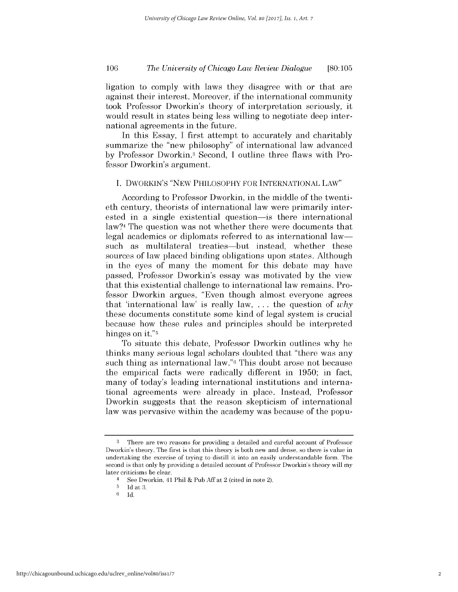# *The University of Chicago Law Review Dialogue* **106 [80:105**

ligation to comply with laws they disagree with or that are against their interest. Moreover, **if** the international community took Professor Dworkin's theory of interpretation seriously, it would result in states being less willing to negotiate deep international agreements in the future.

In this Essay, **I** first attempt to accurately and charitably summarize the "new philosophy" of international law advanced **by** Professor Dworkin.3 Second, **I** outline three flaws with Professor Dworkin's argument.

### **I.** DWORKIN'S **"NEW PHILOSOPHY** FOR **INTERNATIONAL** LAW"

According to Professor Dworkin, in the middle of the twentieth century, theorists of international law were primarily interested in a single existential question—is there international law?4 The question was not whether there were documents that legal academics or diplomats referred to as international law such as multilateral treaties—but instead, whether these sources of law placed binding obligations upon states. Although in the eyes of many the moment for this debate may have passed, Professor Dworkin's essay was motivated **by** the view that this existential challenge to international law remains. Professor Dworkin argues, "Even though almost everyone agrees that 'international law' is really law, **. . .** the question of *why* these documents constitute some kind of legal system is crucial because how these rules and principles should be interpreted hinges on it."<sup>5</sup>

To situate this debate, Professor Dworkin outlines why he thinks many serious legal scholars doubted that "there was any such thing as international law."6 This doubt arose not because the empirical facts were radically different in **1950;** in fact, many of today's leading international institutions and international agreements were already in place. Instead, Professor Dworkin suggests that the reason skepticism of international law was pervasive within the academy was because of the popu-

**<sup>3</sup>** There are two reasons for providing a detailed and careful account of Professor Dworkin's theory. The first is that this theory is both new and dense, so there is value in undertaking the exercise of trying to distill **it** into an easily understandable form. The second is that only **by** providing a detailed account of Professor Dworkin's theory will my later criticisms be clear.

<sup>4</sup> See Dworkin, 41 Phil **&** Pub **Aff** at 2 (cited in note 2).

**<sup>5</sup> Id** at **3.**

**<sup>6</sup>**Id.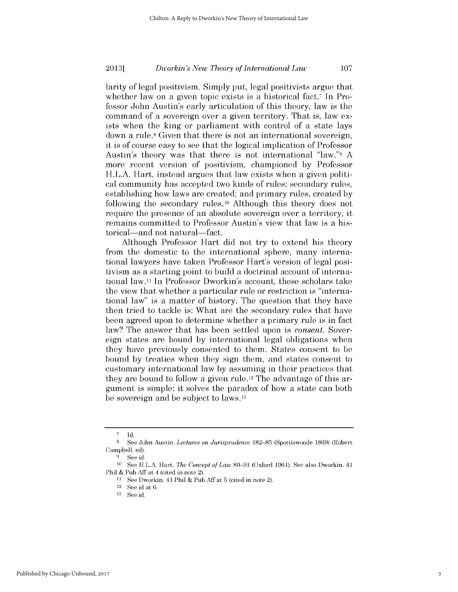larity of legal positivism. Simply put, legal positivists argue that whether law on a given topic exists is a historical fact.<sup>7</sup> In Professor John Austin's early articulation of this theory, law is the command of a sovereign over a given territory. That is, law exists when the king or parliament with control of a state lays down a rule.8 Given that there is not an international sovereign, it *is* of course easy to see that the logical implication of Professor Austin's theory was that there is not international "law."9 **A** more recent version of positivism, championed **by** Professor H.L.A. Hart, instead argues that law exists when a given political community has accepted two kinds of rules: secondary rules, establishing how laws are created; and primary rules, created **by** following the secondary rules.<sup>10</sup> Although this theory does not require the presence of an absolute sovereign over a territory, it remains committed to Professor Austin's view that law is a historical—and not natural—fact.

Although Professor Hart **did** not try to extend his theory from the domestic to the international sphere, many international lawyers have taken Professor Hart's version of legal positivism as a starting point to build a doctrinal account of international law.11 In Professor Dworkin's account, these scholars take the view that whether a particular rule or restriction is "international law" is a matter of history. The question that they have then tried to tackle is: What are the secondary rules that have been agreed upon to determine whether a primary rule is in fact law? The answer that has been settled upon *is consent.* Sovereign states are bound **by** international legal obligations when they have previously consented to them. States consent to be bound **by** treaties when they sign them, and states consent to customary international law **by** assuming **in** their practices that they are bound to follow a given rule.12 The advantage of this argument is simple: it solves the paradox of how a state can both be sovereign and be subject to laws.13

**<sup>7</sup> Id.**

**<sup>8</sup>**See John Austin, *Lectures on Jurisprudence* **182-85** (Spottiswoode **1869)** (Robert Campbell, ed).

**<sup>9</sup>** See id.

**<sup>10</sup>** See H.L.A. Hart, *The Concept of Law* **80-91** (Oxford **1961).** See also Dworkin, 41 Phil **&** Pub **Aff** at 4 (cited in note 2).

**<sup>11</sup>**See Dworkin, 41 Phil **&** Pub Aff at **5** (cited in note 2).

<sup>12</sup> See id at 6.

**<sup>13</sup> See** id-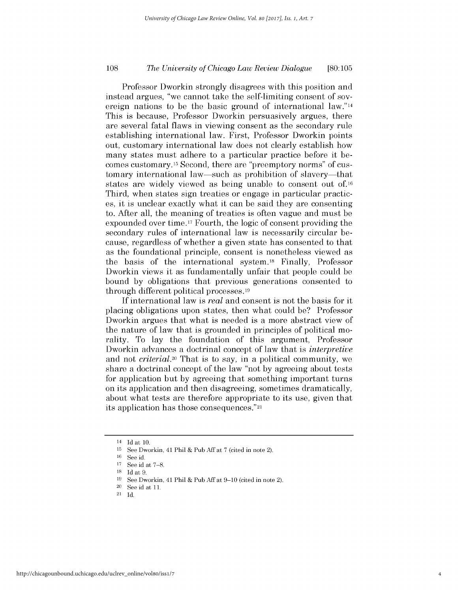# *The University of Chicago Law Review Dialogue* **108 [80:105**

Professor Dworkin strongly disagrees with this position and instead argues, "we cannot take the self-limiting consent of sovereign nations to be the basic ground of international law."14 This is because, Professor Dworkin persuasively argues, there are several fatal flaws in viewing consent as the secondary rule establishing international law. First, Professor Dworkin points out, customary international law does not clearly establish how many states must adhere to a particular practice before it becomes customary.<sup>15</sup> Second, there are "preemptory norms" of customary international law-such as prohibition of slavery-that states are widely viewed as being unable to consent out **of.16** Third, when states sign treaties or engage in particular practices, *it* is unclear exactly what it can be said they are consenting to. After all, the meaning of treaties is often vague and must be expounded over time.17 Fourth, the logic of consent providing the secondary rules of international law is necessarily circular because, regardless of whether a given state has consented to that as the foundational principle, consent is nonetheless viewed as the basis of the international system. 18 Finally, Professor Dworkin views it as fundamentally unfair that people could be bound **by** obligations that previous generations consented to through different political processes.19

**If** international law *is real* and consent is not the basis for it placing obligations upon states, then what could be? Professor Dworkin argues that what is needed is a more abstract view of the nature of law that is grounded in principles of political morality. To lay the foundation of this argument, Professor Dworkin advances a doctrinal concept of law that *is interpretive* and not *criterial.20 That* is to say, in a political community, we share a doctrinal concept of the law "not **by agreeing** about tests for application but **by** agreeing that something important turns on its application and then disagreeing, sometimes dramatically, about what tests are therefore appropriate to its use, given that its application has those consequences."21

<sup>14</sup>**Id** at **10.**

**<sup>15</sup>**See Dworkin, 41 Phil **&** Pub **Aff** at **7** (cited in note 2).

**<sup>16</sup>**See id.

**<sup>17</sup> See** id at **7-8.**

**<sup>18</sup> Id** at **9.**

**<sup>19</sup> See** Dworkin, 41 Phil **&** Pub **Aff** at **9-10** (cited in note 2).

<sup>20</sup>**See** id at **11.**

<sup>21</sup> **Id.**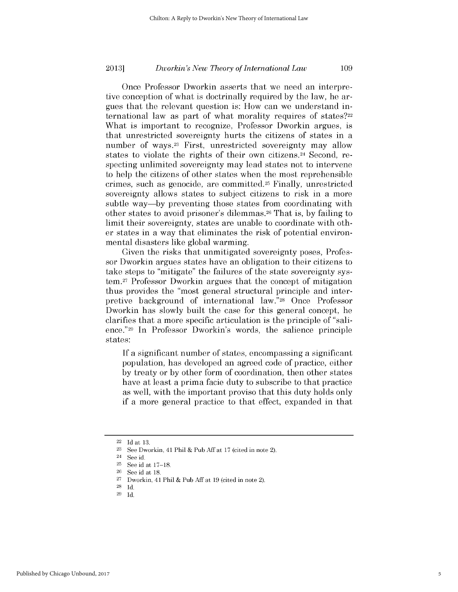Once Professor Dworkin asserts that we need an interpretive conception of what is doctrinally required **by** the law, he argues that the relevant question is: How can we understand international law as part of what morality requires of states?<sup>22</sup> What is important to recognize, Professor Dworkin argues, **is** that unrestricted sovereignty hurts the citizens of states in a number of ways.<sup>23</sup> First, unrestricted sovereignty may allow states to violate the rights of their own citizens.<sup>24</sup> Second, respecting unlimited sovereignty may lead states not to intervene to help the citizens of other states when the most reprehensible crimes, such as genocide, are committed.25 Finally, unrestricted sovereignty allows states to subject citizens to risk in a more subtle way-by preventing those states from coordinating with other states to avoid prisoner's dilemmas.26 That is, **by** failing to limit their sovereignty, states are unable to coordinate with other states in a way that eliminates the risk of potential environmental disasters like global warming.

Given the risks that unmitigated sovereignty poses, Professor Dworkin argues states have an obligation to their citizens to take steps to "mitigate" the failures of the state sovereignty system. 27 Professor Dworkin argues that the concept of mitigation thus provides the "most general structural principle and interpretive background of international law."28 Once Professor Dworkin has slowly built the case for this general concept, he clarifies that a more specific articulation is the principle of "salience."29 In Professor Dworkin's words, the salience principle states:

**If** a significant number of states, encompassing a significant population, has developed an agreed code of practice, either **by** treaty or **by** other form of coordination, then other states have at least a prima facie duty to subscribe to that practice as well, with the important proviso that this duty holds only if a more general practice to that effect, expanded in that

<sup>22</sup>**Id** at **13.**

**<sup>23</sup>**See Dworkin, 41 Phil **&** Pub **Aff** at **17** (cited in note 2).

<sup>24</sup>**See** id.

**<sup>25</sup> See** id at **17-18.**

**<sup>26</sup>**See id at **18.**

**<sup>27</sup>**Dworkin, 41 Phil **&** Pub **Aff** at **19** (cited in note 2).

**<sup>28</sup> Id.**

**<sup>29</sup> Id.**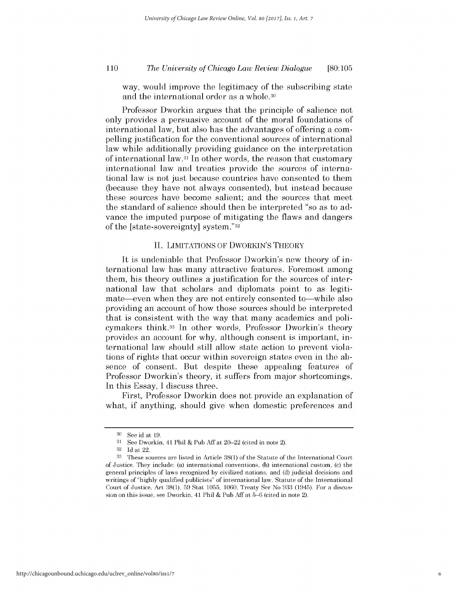# *The University of Chicago Law Review Dialogue* **110 [80:105**

way, would improve the legitimacy of the subscribing state and the international order as a whole.30

Professor Dworkin argues that the principle of salience not only provides a persuasive account of the moral foundations of international law, but also has the advantages of offering a compelling justification for the conventional sources of international law while additionally providing guidance on the interpretation of international law.31 In other words, the reason that customary international law and treaties provide the sources of international law is not just because countries have consented to them (because they have not always consented), but instead because these sources have become salient; and the sources that meet the standard of salience should then be interpreted "so as to advance the imputed purpose of mitigating the flaws and dangers of the [state -sovereignty] system."32

#### **II.** LIMITATIONS OF DWORKIN'S THEORY

It is undeniable that Professor Dworkin's new theory of international law has many attractive features. Foremost among them, his theory outlines a justification for the sources of international law that scholars and diplomats point to as legitimate—even when they are not entirely consented to—while also providing an account of how those sources should be interpreted that is consistent with the way that many academics and policymakers think.33 In other words, Professor Dworkin's theory provides an account for why, although consent is important, international law should still allow state action to prevent violations of rights that occur within sovereign states even in the absence of consent. But despite these appealing features of Professor Dworkin's theory, it suffers from major shortcomings. In this Essay, **I** discuss three.

First, Professor Dworkin does not provide an explanation of what, **if** anything, should give when domestic preferences and

 $\frac{30}{31}$  See id at 19.

**<sup>31</sup>**See Dworkin, 41 Phil **&** Pub **Aff** at 20-22 (cited in note 2).

**<sup>32</sup> Id** at 22.

**<sup>33</sup>**These sources are listed in Article **38(1)** of the Statute of the International Court of Justice. They include: (a) international conventions, **(b)** international custom, **(c)** the general principles of laws recognized **by** civilized nations, and **(d)** judicial decisions and writings of **"highly** qualified publicists" of international law. Statute of the International Court of Justice, Art **38(1), 59** Stat **1055, 1060,** Treaty Ser No **933** (1945). For a discussion on this issue, see Dworkin, 41 Phil **&** Pub **Aff** at **5-6** (cited in note 2).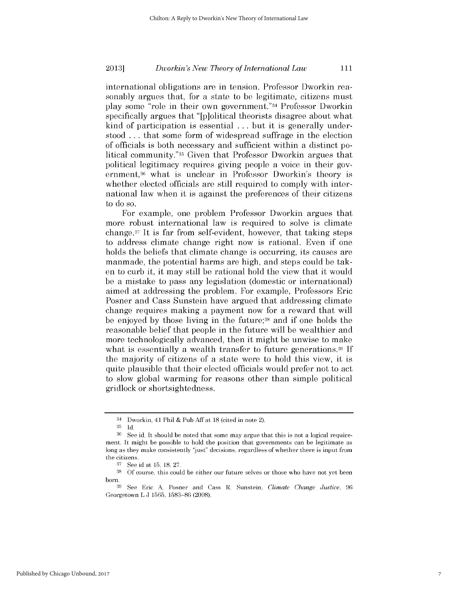international obligations are in tension. Professor Dworkin reasonably argues that, for a state to be legitimate, citizens must play some "role in their own government."34 Professor Dworkin specifically argues that "[p]olitical theorists disagree about what kind of participation is essential **.** . **.** but it is generally understood **.** . **.** that some form of widespread suffrage in the election of officials is both necessary and sufficient within a distinct political community."35 Given that Professor Dworkin argues that political legitimacy requires giving people a voice in their government, 36 what is unclear in Professor Dworkin's theory **is** whether elected officials are still required to comply with international law when it is against the preferences of their citizens to do so.

For example, one problem Professor Dworkin argues that more robust international law is required to solve is climate change.37 It *is* far from self-evident, however, that taking steps to address climate change right now is rational. Even **if** one holds the beliefs that climate change is occurring, its causes are manmade, the potential harms are **high,** and steps could be taken to curb it, it may still be rational hold the view that it would be a mistake to pass any legislation (domestic or international) aimed at addressing the problem. For example, Professors Eric Posner and Cass Sunstein have argued that addressing climate change requires making a payment now for a reward that will be enjoyed **by** those living in the **future;38** and **if** one holds the reasonable belief that people in the future will be wealthier and more technologically advanced, then it might be unwise to make what is essentially a wealth transfer to future generations.39 **If** the majority of citizens of a state were to hold this view, it **is** quite plausible that their elected officials would prefer not to act to slow global warming for reasons other than simple political gridlock or shortsightedness.

<sup>34</sup> Dworkin, 41 Phil **&** Pub **Aff** at **18** (cited in note 2).

**<sup>35</sup> Id.**

**<sup>36</sup> See** id. It should be noted that some may argue that this is not a logical requirement. It might be possible to hold the position that governments can be legitimate as long as they make consistently "just" decisions, regardless of whether there is input from the citizens.<br> $\frac{37}{90}$  See.

**<sup>37</sup>**See id at **15, 18, 27.**

**<sup>38</sup> Of** course, this could be either our future selves or those who have not yet been born.

**<sup>39</sup>**See Eric **A.** Posner and Cass R. Sunstein, *Climate Change Justice, 96* Georgetown L **J 1565, 1583-86 (2008).**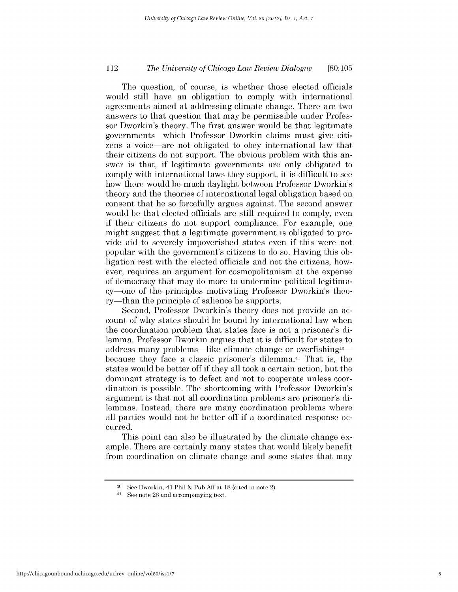# *The University of Chicago Law Review Dialogue* 112 **[80:105**

The question, of course, is whether those elected officials would still have an obligation to comply with international agreements aimed at addressing climate change. There are two answers to that question that may be permissible under Professor Dworkin's theory. The first answer would be that legitimate governments-which Professor Dworkin claims must give citizens a voice-are not obligated to obey international law that their citizens do not support. The obvious problem with this answer is that, **if** legitimate governments are only obligated to comply with international laws they support, it is difficult to see how there would be much daylight between Professor Dworkin's theory and the theories of international legal obligation based on consent that he so forcefully argues against. The second answer would be that elected officials are still required to comply, even if their citizens do not support compliance. For example, one might suggest that a legitimate government is obligated to provide aid to severely impoverished states even **if** this were not popular with the government's citizens to do so. Having this obligation rest with the elected officials and not the citizens, however, requires an argument for cosmopolitanism at the expense of democracy that may do more to undermine political legitimacy-one of the principles motivating Professor Dworkin's theory—than the principle of salience he supports.

Second, Professor Dworkin's theory does not provide an account of why states should be bound **by** international law when the coordination problem that states face is not a prisoner's **di**lemma. Professor Dworkin argues that it is difficult for states to address many problems—like climate change or overfishing<sup>40</sup> because they face a classic prisoner's dilemma.41 That is, the states would be better off **if** they all took a certain action, but the dominant strategy is to defect and not to cooperate unless coordination is possible. The shortcoming with Professor Dworkin's argument is that not all coordination problems are prisoner's **di**lemmas. Instead, there are many coordination problems where all parties would not be better off **if** a coordinated response occurred.

This point can also be illustrated **by** the climate change example. There are certainly many states that would likely benefit from coordination on climate change and some states that may

**<sup>40</sup>See** Dworkin, 41 Phil **&** Pub **Aff** at **18** (cited in note 2).

**<sup>41</sup>See** note **26** and accompanying text.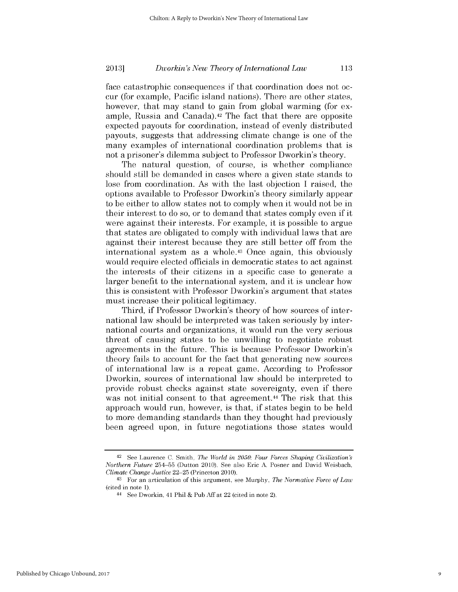face catastrophic consequences **if** that coordination does not occur (for example, Pacific island nations). There are other states, however, that may stand to gain from global warming (for example, Russia and Canada).42 The fact that there are opposite expected payouts for coordination, instead of evenly distributed payouts, suggests that addressing climate change is one of the many examples of international coordination problems that **is** not a prisoner's dilemma subject to Professor Dworkin's theory.

The natural question, of course, is whether compliance should still be demanded in cases where a given state stands to lose from coordination. As with the last objection **I** raised, the options available to Professor Dworkin's theory similarly appear to be either to allow states not to comply when it would not be in their interest to do so, or to demand that states comply even **if** it were against their interests. For example, it is possible to argue that states are obligated to comply with individual laws that are against their interest because they are still better off from the international system as a whole.43 Once again, this obviously would require elected officials in democratic states to act against the interests of their citizens in a specific case to generate a larger benefit to the international system, and it is unclear how *this* is consistent with Professor Dworkin's argument that states must increase their political legitimacy.

Third, **if** Professor Dworkin's theory of how sources of international law should be interpreted was taken seriously **by** international courts and organizations, it would run the very serious threat of causing states to be unwilling to negotiate robust agreements in the future. This is because Professor Dworkin's theory fails to account for the fact that generating new sources of international law is a repeat **game.** According to Professor Dworkin, sources of international law should be interpreted to provide robust checks against state sovereignty, even **if** there was not initial consent to that agreement.<sup>44</sup> The risk that this approach would run, however, is that, **if** states begin to be held to more demanding standards than they thought had previously been agreed upon, in future negotiations those states would

**<sup>42</sup> See** Laurence **C.** Smith, *The World in 2050: Four Forces Shaping Civilization's Northern Future* **254-55** (Dutton 2010). See also Eric **A.** Posner and David Weisbach, *Climate Change Justice* **22-25** (Princeton 2010).

<sup>43</sup> For an articulation of this argument, see Murphy, *The Normative Force of Law* (cited in note **1).**

<sup>44</sup>**See** Dworkin, 41 Phil **&** Pub **Aff** at 22 (cited in note 2).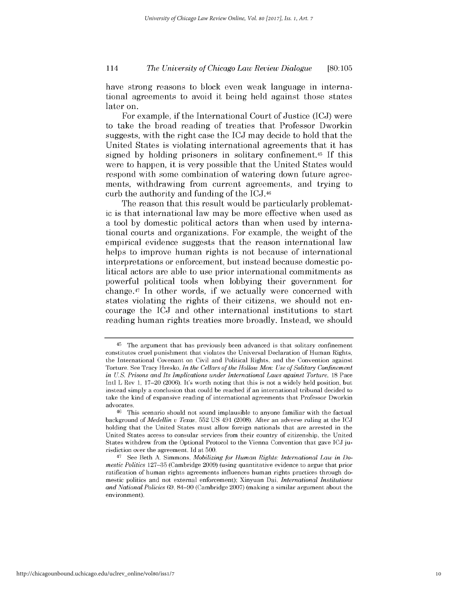# *The University of Chicago Law Review Dialogue* 114 **[80:105**

have strong reasons to block even weak language in international agreements to avoid it being held against those states later on.

For example, **if** the International Court of Justice **(ICJ)** were to take the broad reading of treaties that Professor Dworkin suggests, with the right case the **ICJ** may decide to hold that the United States is violating international agreements that it has signed **by** holding prisoners in solitary confinement.45 **If** this were to happen, it is very possible that the United States would respond with some combination of watering down future agreements, withdrawing from current agreements, and trying to curb the authority and funding of the ICJ.46

The reason that this result would be particularly problemat*ic* is that international law may be more effective when used as a tool **by** domestic political actors than when used **by** international courts and organizations. For example, the weight of the empirical evidence suggests that the reason international law helps to improve human rights is not because of international interpretations or enforcement, but instead because domestic **po**litical actors are able to use prior international commitments as powerful political tools when lobbying their government for change.47 In other words, **if** we actually were concerned with states violating the rights of their citizens, we should not encourage the **ICJ** and other international institutions to start reading human rights treaties more broadly. Instead, we should

**<sup>45</sup>**The argument that has previously been advanced is that solitary confinement constitutes cruel punishment that violates the Universal Declaration of Human Rights, the International Covenant on Civil and Political Rights, and the Convention against Torture. See Tracy Hresko, *In the Cellars of the Hollow Men: Use of Solitary Confinement in U.S. Prisons and Its Implications under International Laws against Torture,* **18** Pace Intl L Rev **1, 17-20 (2006).** It's worth noting that this is not a widely held position, but instead simply a conclusion that could be reached if an international tribunal decided to take the kind of expansive reading of international agreements that Professor Dworkin advocates.

**<sup>46</sup>**This scenario should not sound implausible to anyone familiar with the factual background *of Medellin u Texas,* **552 US** 491 **(2008).** After an adverse ruling at the **ICJ** holding that the United States must allow foreign nationals that are arrested in the United States access to consular services from their country of citizenship, the United States withdrew from the Optional Protocol to the Vienna Convention that gave **ICJ** jurisdiction over the agreement. **Id** at **500.**

<sup>47</sup> **See** Beth **A.** Simmons, *Mobilizing for Human Rights: International Law in Domestic Politics* **127-35** (Cambridge **2009)** (using quantitative evidence to argue that prior ratification of human rights agreements influences human rights practices through domestic politics and not external enforcement); Xinyuan Dai, *International Institutions and National Policies* **69,** 84-90 (Cambridge **2007)** (making a similar argument about the environment).